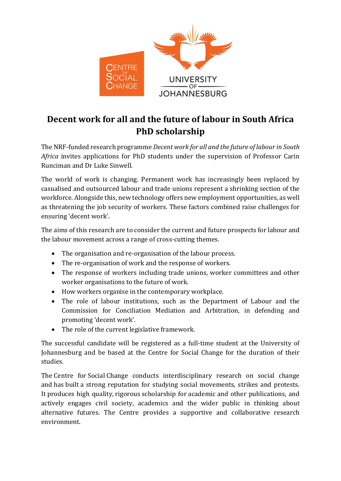

## **Decent work for all and the future of labour in South Africa PhD scholarship**

The NRF-funded research programme *Decent work for all and the future of labour in South Africa* invites applications for PhD students under the supervision of Professor Carin Runciman and Dr Luke Sinwell.

The world of work is changing. Permanent work has increasingly been replaced by casualised and outsourced labour and trade unions represent a shrinking section of the workforce. Alongside this, new technology offers new employment opportunities, as well as threatening the job security of workers. These factors combined raise challenges for ensuring 'decent work'.

The aims of this research are to consider the current and future prospects for labour and the labour movement across a range of cross-cutting themes.

- The organisation and re-organisation of the labour process.
- The re-organisation of work and the response of workers.
- The response of workers including trade unions, worker committees and other worker organisations to the future of work.
- How workers organise in the contemporary workplace.
- The role of labour institutions, such as the Department of Labour and the Commission for Conciliation Mediation and Arbitration, in defending and promoting 'decent work'.
- The role of the current legislative framework.

The successful candidate will be registered as a full-time student at the University of Johannesburg and be based at the Centre for Social Change for the duration of their studies.

The Centre for Social Change conducts interdisciplinary research on social change and has built a strong reputation for studying social movements, strikes and protests. It produces high quality, rigorous scholarship for academic and other publications, and actively engages civil society, academics and the wider public in thinking about alternative futures. The Centre provides a supportive and collaborative research environment.